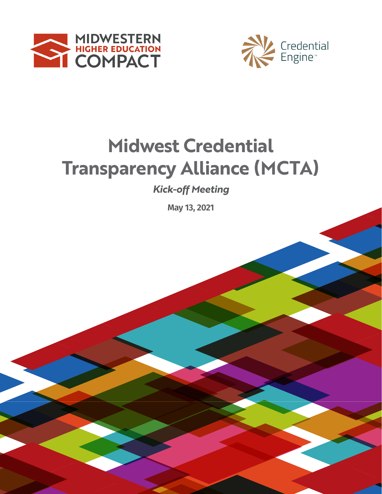



# **2019-2020 Transparency Alliance (MCTA) Midwest Credential**

**REPORT**<br> **REPORT**<br> **REPORT**<br> **REPORT** *Kick-off Meeting*

**May 13, 2021**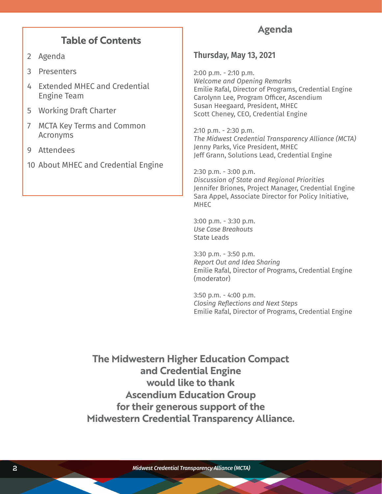### **Table of Contents**

- 2 Agenda
- 3 Presenters
- 4 Extended MHEC and Credential Engine Team
- 5 Working Draft Charter
- 7 MCTA Key Terms and Common Acronyms
- 9 Attendees
- 10 About MHEC and Credential Engine

### **Agenda**

### **Thursday, May 13, 2021**

2:00 p.m. - 2:10 p.m. *Welcome and Opening Remarks* Emilie Rafal, Director of Programs, Credential Engine Carolynn Lee, Program Officer, Ascendium Susan Heegaard, President, MHEC Scott Cheney, CEO, Credential Engine

2:10 p.m. - 2:30 p.m. *The Midwest Credential Transparency Alliance (MCTA)*  Jenny Parks, Vice President, MHEC Jeff Grann, Solutions Lead, Credential Engine

2:30 p.m. - 3:00 p.m. *Discussion of State and Regional Priorities* Jennifer Briones, Project Manager, Credential Engine Sara Appel, Associate Director for Policy Initiative, MHEC

3:00 p.m. - 3:30 p.m. *Use Case Breakouts* State Leads

3:30 p.m. - 3:50 p.m. *Report Out and Idea Sharing* Emilie Rafal, Director of Programs, Credential Engine (moderator)

3:50 p.m. - 4:00 p.m. *Closing Reflections and Next Steps* Emilie Rafal, Director of Programs, Credential Engine

**The Midwestern Higher Education Compact and Credential Engine would like to thank Ascendium Education Group for their generous support of the Midwestern Credential Transparency Alliance.**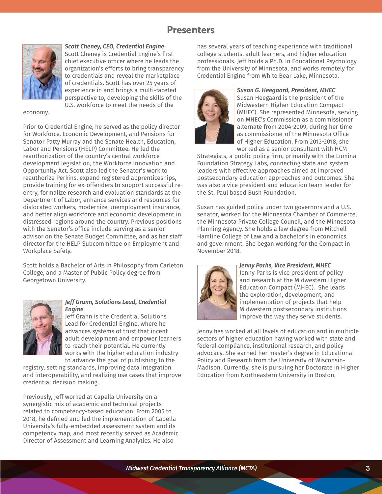## **Presenters**



#### *Scott Cheney, CEO, Credential Engine*

Scott Cheney is Credential Engine's first chief executive officer where he leads the organization's efforts to bring transparency to credentials and reveal the marketplace of credentials. Scott has over 25 years of experience in and brings a multi-faceted perspective to, developing the skills of the U.S. workforce to meet the needs of the

#### economy.

Prior to Credential Engine, he served as the policy director for Workforce, Economic Development, and Pensions for Senator Patty Murray and the Senate Health, Education, Labor and Pensions (HELP) Committee. He led the reauthorization of the country's central workforce development legislation, the Workforce Innovation and Opportunity Act. Scott also led the Senator's work to reauthorize Perkins, expand registered apprenticeships, provide training for ex-offenders to support successful reentry, formalize research and evaluation standards at the Department of Labor, enhance services and resources for dislocated workers, modernize unemployment insurance, and better align workforce and economic development in distressed regions around the country. Previous positions with the Senator's office include serving as a senior advisor on the Senate Budget Committee, and as her staff director for the HELP Subcommittee on Employment and Workplace Safety.

Scott holds a Bachelor of Arts in Philosophy from Carleton College, and a Master of Public Policy degree from Georgetown University.



#### *Jeff Grann, Solutions Lead, Credential Engine*

Jeff Grann is the Credential Solutions Lead for Credential Engine, where he advances systems of trust that incent adult development and empower learners to reach their potential. He currently works with the higher education industry to advance the goal of publishing to the

registry, setting standards, improving data integration and interoperability, and realizing use cases that improve credential decision making.

Previously, Jeff worked at Capella University on a synergistic mix of academic and technical projects related to competency-based education. From 2005 to 2018, he defined and led the implementation of Capella University's fully-embedded assessment system and its competency map, and most recently served as Academic Director of Assessment and Learning Analytics. He also

has several years of teaching experience with traditional college students, adult learners, and higher education professionals. Jeff holds a Ph.D. in Educational Psychology from the University of Minnesota, and works remotely for Credential Engine from White Bear Lake, Minnesota.



#### *Susan G. Heegaard, President, MHEC*

Susan Heegaard is the president of the Midwestern Higher Education Compact (MHEC). She represented Minnesota, serving on MHEC's Commission as a commissioner alternate from 2004-2009, during her time as commissioner of the Minnesota Office of Higher Education. From 2013-2018, she worked as a senior consultant with HCM

Strategists, a public policy firm, primarily with the Lumina Foundation Strategy Labs, connecting state and system leaders with effective approaches aimed at improved postsecondary education approaches and outcomes. She was also a vice president and education team leader for the St. Paul based Bush Foundation.

Susan has guided policy under two governors and a U.S. senator, worked for the Minnesota Chamber of Commerce, the Minnesota Private College Council, and the Minnesota Planning Agency. She holds a law degree from Mitchell Hamline College of Law and a bachelor's in economics and government. She began working for the Compact in November 2018.



### *Jenny Parks, Vice President, MHEC*

Jenny Parks is vice president of policy and research at the Midwestern Higher Education Compact (MHEC). She leads the exploration, development, and implementation of projects that help Midwestern postsecondary institutions improve the way they serve students.

Jenny has worked at all levels of education and in multiple sectors of higher education having worked with state and federal compliance, institutional research, and policy advocacy. She earned her master's degree in Educational Policy and Research from the University of Wisconsin-Madison. Currently, she is pursuing her Doctorate in Higher Education from Northeastern University in Boston.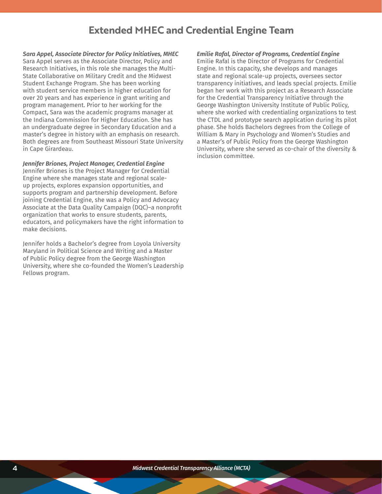### **Extended MHEC and Credential Engine Team**

*Sara Appel, Associate Director for Policy Initiatives, MHEC* Sara Appel serves as the Associate Director, Policy and Research Initiatives, in this role she manages the Multi-State Collaborative on Military Credit and the Midwest Student Exchange Program. She has been working with student service members in higher education for over 20 years and has experience in grant writing and program management. Prior to her working for the Compact, Sara was the academic programs manager at the Indiana Commission for Higher Education. She has an undergraduate degree in Secondary Education and a master's degree in history with an emphasis on research. Both degrees are from Southeast Missouri State University in Cape Girardeau.

*Jennifer Briones, Project Manager, Credential Engine* Jennifer Briones is the Project Manager for Credential Engine where she manages state and regional scaleup projects, explores expansion opportunities, and supports program and partnership development. Before joining Credential Engine, she was a Policy and Advocacy Associate at the Data Quality Campaign (DQC)–a nonprofit organization that works to ensure students, parents, educators, and policymakers have the right information to make decisions.

Jennifer holds a Bachelor's degree from Loyola University Maryland in Political Science and Writing and a Master of Public Policy degree from the George Washington University, where she co-founded the Women's Leadership Fellows program.

*Emilie Rafal, Director of Programs, Credential Engine*

Emilie Rafal is the Director of Programs for Credential Engine. In this capacity, she develops and manages state and regional scale-up projects, oversees sector transparency initiatives, and leads special projects. Emilie began her work with this project as a Research Associate for the Credential Transparency Initiative through the George Washington University Institute of Public Policy, where she worked with credentialing organizations to test the CTDL and prototype search application during its pilot phase. She holds Bachelors degrees from the College of William & Mary in Psychology and Women's Studies and a Master's of Public Policy from the George Washington University, where she served as co-chair of the diversity & inclusion committee.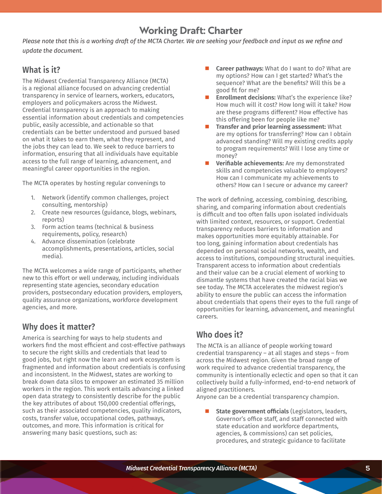# **Working Draft: Charter**

Please note that this is a working draft of the MCTA Charter. We are seeking your feedback and input as we refine and *update the document.*

### **What is it?**

The Midwest Credential Transparency Alliance (MCTA) is a regional alliance focused on advancing credential transparency in service of learners, workers, educators, employers and policymakers across the Midwest. Credential transparency is an approach to making essential information about credentials and competencies public, easily accessible, and actionable so that credentials can be better understood and pursued based on what it takes to earn them, what they represent, and the jobs they can lead to. We seek to reduce barriers to information, ensuring that all individuals have equitable access to the full range of learning, advancement, and meaningful career opportunities in the region.

The MCTA operates by hosting regular convenings to

- 1. Network (identify common challenges, project consulting, mentorship)
- 2. Create new resources (guidance, blogs, webinars, reports)
- 3. Form action teams (technical & business requirements, policy, research)
- 4. Advance dissemination (celebrate accomplishments, presentations, articles, social media).

The MCTA welcomes a wide range of participants, whether new to this effort or well underway, including individuals representing state agencies, secondary education providers, postsecondary education providers, employers, quality assurance organizations, workforce development agencies, and more.

### **Why does it matter?**

America is searching for ways to help students and workers find the most efficient and cost-effective pathways to secure the right skills and credentials that lead to good jobs, but right now the learn and work ecosystem is fragmented and information about credentials is confusing and inconsistent. In the Midwest, states are working to break down data silos to empower an estimated 35 million workers in the region. This work entails advancing a linked open data strategy to consistently describe for the public the key attributes of about 150,000 credential offerings, such as their associated competencies, quality indicators, costs, transfer value, occupational codes, pathways, outcomes, and more. This information is critical for answering many basic questions, such as:

- **Career pathways:** What do I want to do? What are my options? How can I get started? What's the sequence? What are the benefits? Will this be a good fit for me?
- **Enrollment decisions:** What's the experience like? How much will it cost? How long will it take? How are these programs different? How effective has this offering been for people like me?
- **Transfer and prior learning assessment:** What are my options for transferring? How can I obtain advanced standing? Will my existing credits apply to program requirements? Will I lose any time or money?
- **Verifiable achievements:** Are my demonstrated skills and competencies valuable to employers? How can I communicate my achievements to others? How can I secure or advance my career?

The work of defining, accessing, combining, describing, sharing, and comparing information about credentials is difficult and too often falls upon isolated individuals with limited context, resources, or support. Credential transparency reduces barriers to information and makes opportunities more equitably attainable. For too long, gaining information about credentials has depended on personal social networks, wealth, and access to institutions, compounding structural inequities. Transparent access to information about credentials and their value can be a crucial element of working to dismantle systems that have created the racial bias we see today. The MCTA accelerates the midwest region's ability to ensure the public can access the information about credentials that opens their eyes to the full range of opportunities for learning, advancement, and meaningful careers.

### **Who does it?**

The MCTA is an alliance of people working toward credential transparency – at all stages and steps – from across the Midwest region. Given the broad range of work required to advance credential transparency, the community is intentionally eclectic and open so that it can collectively build a fully-informed, end-to-end network of aligned practitioners.

Anyone can be a credential transparency champion.

 **State government officials** (Legislators, leaders, Governor's office staff, and staff connected with state education and workforce departments, agencies, & commissions) can set policies, procedures, and strategic guidance to facilitate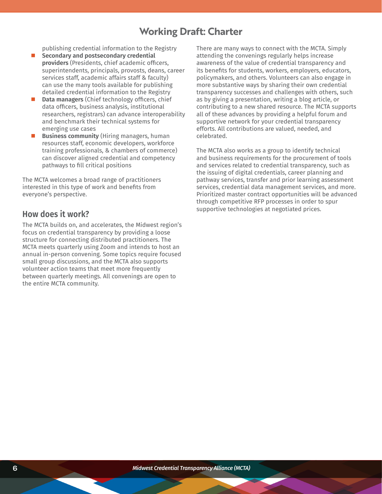# **Working Draft: Charter**

publishing credential information to the Registry

- **Secondary and postsecondary credential providers** (Presidents, chief academic officers, superintendents, principals, provosts, deans, career services staff, academic affairs staff & faculty) can use the many tools available for publishing detailed credential information to the Registry
- **Data managers** (Chief technology officers, chief data officers, business analysis, institutional researchers, registrars) can advance interoperability and benchmark their technical systems for emerging use cases
- **Business community** (Hiring managers, human resources staff, economic developers, workforce training professionals, & chambers of commerce) can discover aligned credential and competency pathways to fill critical positions

The MCTA welcomes a broad range of practitioners interested in this type of work and benefits from everyone's perspective.

### **How does it work?**

The MCTA builds on, and accelerates, the Midwest region's focus on credential transparency by providing a loose structure for connecting distributed practitioners. The MCTA meets quarterly using Zoom and intends to host an annual in-person convening. Some topics require focused small group discussions, and the MCTA also supports volunteer action teams that meet more frequently between quarterly meetings. All convenings are open to the entire MCTA community.

There are many ways to connect with the MCTA. Simply attending the convenings regularly helps increase awareness of the value of credential transparency and its benefits for students, workers, employers, educators, policymakers, and others. Volunteers can also engage in more substantive ways by sharing their own credential transparency successes and challenges with others, such as by giving a presentation, writing a blog article, or contributing to a new shared resource. The MCTA supports all of these advances by providing a helpful forum and supportive network for your credential transparency efforts. All contributions are valued, needed, and celebrated.

The MCTA also works as a group to identify technical and business requirements for the procurement of tools and services related to credential transparency, such as the issuing of digital credentials, career planning and pathway services, transfer and prior learning assessment services, credential data management services, and more. Prioritized master contract opportunities will be advanced through competitive RFP processes in order to spur supportive technologies at negotiated prices.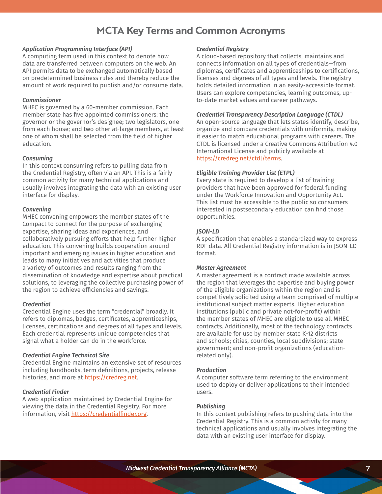## **MCTA Key Terms and Common Acronyms**

#### *Application Programming Interface (API)*

A computing term used in this context to denote how data are transferred between computers on the web. An API permits data to be exchanged automatically based on predetermined business rules and thereby reduce the amount of work required to publish and/or consume data.

#### *Commissioner*

MHEC is governed by a 60-member commission. Each member state has five appointed commissioners: the governor or the governor's designee; two legislators, one from each house; and two other at-large members, at least one of whom shall be selected from the field of higher education.

#### *Consuming*

In this context consuming refers to pulling data from the Credential Registry, often via an API. This is a fairly common activity for many technical applications and usually involves integrating the data with an existing user interface for display.

#### *Convening*

MHEC convening empowers the member states of the Compact to connect for the purpose of exchanging expertise, sharing ideas and experiences, and collaboratively pursuing efforts that help further higher education. This convening builds cooperation around important and emerging issues in higher education and leads to many initiatives and activities that produce a variety of outcomes and results ranging from the dissemination of knowledge and expertise about practical solutions, to leveraging the collective purchasing power of the region to achieve efficiencies and savings.

#### *Credential*

Credential Engine uses the term "credential" broadly. It refers to diplomas, badges, certificates, apprenticeships, licenses, certifications and degrees of all types and levels. Each credential represents unique competencies that signal what a holder can do in the workforce.

#### *Credential Engine Technical Site*

Credential Engine maintains an extensive set of resources including handbooks, term definitions, projects, release histories, and more at <https://credreg.net>.

#### *Credential Finder*

A web application maintained by Credential Engine for viewing the data in the Credential Registry. For more information, visit <https://credentialfinder.org>.

#### *Credential Registry*

A cloud-based repository that collects, maintains and connects information on all types of credentials—from diplomas, certificates and apprenticeships to certifications, licenses and degrees of all types and levels. The registry holds detailed information in an easily-accessible format. Users can explore competencies, learning outcomes, upto-date market values and career pathways.

#### *Credential Transparency Description Language (CTDL)*

An open-source language that lets states identify, describe, organize and compare credentials with uniformity, making it easier to match educational programs with careers. The CTDL is licensed under a Creative Commons Attribution 4.0 International License and publicly available at <https://credreg.net/ctdl/terms>.

#### *Eligible Training Provider List (ETPL)*

Every state is required to develop a list of training providers that have been approved for federal funding under the Workforce Innovation and Opportunity Act. This list must be accessible to the public so consumers interested in postsecondary education can find those opportunities.

#### *JSON-LD*

A specification that enables a standardized way to express RDF data. All Credential Registry information is in JSON-LD format.

#### *Master Agreement*

A master agreement is a contract made available across the region that leverages the expertise and buying power of the eligible organizations within the region and is competitively solicited using a team comprised of multiple institutional subject matter experts. Higher education institutions (public and private not-for-profit) within the member states of MHEC are eligible to use all MHEC contracts. Additionally, most of the technology contracts are available for use by member state K-12 districts and schools; cities, counties, local subdivisions; state government; and non-profit organizations (educationrelated only).

#### *Production*

A computer software term referring to the environment used to deploy or deliver applications to their intended users.

#### *Publishing*

In this context publishing refers to pushing data into the Credential Registry. This is a common activity for many technical applications and usually involves integrating the data with an existing user interface for display.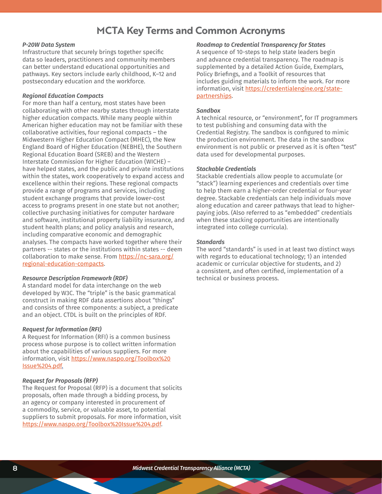# **MCTA Key Terms and Common Acronyms**

#### *P-20W Data System*

Infrastructure that securely brings together specific data so leaders, practitioners and community members can better understand educational opportunities and pathways. Key sectors include early childhood, K–12 and postsecondary education and the workforce.

#### *Regional Education Compacts*

For more than half a century, most states have been collaborating with other nearby states through interstate higher education compacts. While many people within American higher education may not be familiar with these collaborative activities, four regional compacts – the Midwestern Higher Education Compact (MHEC), the New England Board of Higher Education (NEBHE), the Southern Regional Education Board (SREB) and the Western Interstate Commission for Higher Education (WICHE) – have helped states, and the public and private institutions within the states, work cooperatively to expand access and excellence within their regions. These regional compacts provide a range of programs and services, including student exchange programs that provide lower-cost access to programs present in one state but not another; collective purchasing initiatives for computer hardware and software, institutional property liability insurance, and student health plans; and policy analysis and research, including comparative economic and demographic analyses. The compacts have worked together where their partners -- states or the institutions within states -- deem collaboration to make sense. From [https://nc-sara.org/](https://nc-sara.org/regional-education-compacts) [regional-education-compacts](https://nc-sara.org/regional-education-compacts).

#### *Resource Description Framework (RDF)*

A standard model for data interchange on the web developed by W3C. The "triple" is the basic grammatical construct in making RDF data assertions about "things" and consists of three components: a subject, a predicate and an object. CTDL is built on the principles of RDF.

#### *Request for Information (RFI)*

A Request for Information (RFI) is a common business process whose purpose is to collect written information about the capabilities of various suppliers. For more information, visit [https://www.naspo.org/Toolbox%20](https://www.naspo.org/Toolbox%20Issue%204.pdf.) [Issue%204.pdf](https://www.naspo.org/Toolbox%20Issue%204.pdf.).

#### *Request for Proposals (RFP)*

The Request for Proposal (RFP) is a document that solicits proposals, often made through a bidding process, by an agency or company interested in procurement of a commodity, service, or valuable asset, to potential suppliers to submit proposals. For more information, visit <https://www.naspo.org/Toolbox%20Issue%204.pdf>.

#### *Roadmap to Credential Transparency for States*

A sequence of 10-steps to help state leaders begin and advance credential transparency. The roadmap is supplemented by a detailed Action Guide, Exemplars, Policy Briefings, and a Toolkit of resources that includes guiding materials to inform the work. For more information, visit [https://credentialengine.org/state](https://credentialengine.org/state-partnerships)[partnerships](https://credentialengine.org/state-partnerships).

#### *Sandbox*

A technical resource, or "environment", for IT programmers to test publishing and consuming data with the Credential Registry. The sandbox is configured to mimic the production environment. The data in the sandbox environment is not public or preserved as it is often "test" data used for developmental purposes.

#### *Stackable Credentials*

Stackable credentials allow people to accumulate (or "stack") learning experiences and credentials over time to help them earn a higher-order credential or four-year degree. Stackable credentials can help individuals move along education and career pathways that lead to higherpaying jobs. (Also referred to as "embedded" credentials when these stacking opportunities are intentionally integrated into college curricula).

#### *Standards*

The word "standards" is used in at least two distinct ways with regards to educational technology; 1) an intended academic or curricular objective for students, and 2) a consistent, and often certified, implementation of a technical or business process.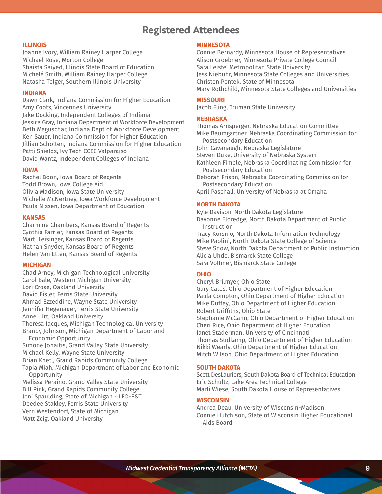# **Registered Attendees**

#### **ILLINOIS**

Joanne Ivory, William Rainey Harper College Michael Rose, Morton College Shaista Saiyed, Illinois State Board of Education Michelé Smith, William Rainey Harper College Natasha Telger, Southern Illinois University

#### **INDIANA**

Dawn Clark, Indiana Commission for Higher Education Amy Coots, Vincennes University Jake Docking, Independent Colleges of Indiana Jessica Gray, Indiana Department of Workforce Development Beth Meguschar, Indiana Dept of Workforce Development Ken Sauer, Indiana Commission for Higher Education Jillian Scholten, Indiana Commission for Higher Education Patti Shields, Ivy Tech CCEC Valparaiso David Wantz, Independent Colleges of Indiana

#### **IOWA**

Rachel Boon, Iowa Board of Regents Todd Brown, Iowa College Aid Olivia Madison, Iowa State University Michelle McNertney, Iowa Workforce Development Paula Nissen, Iowa Department of Education

#### **KANSAS**

Charmine Chambers, Kansas Board of Regents Cynthia Farrier, Kansas Board of Regents Marti Leisinger, Kansas Board of Regents Nathan Snyder, Kansas Board of Regents Helen Van Etten, Kansas Board of Regents

#### **MICHIGAN**

Chad Arney, Michigan Technological University Carol Bale, Western Michigan University Lori Crose, Oakland University David Eisler, Ferris State University Ahmad Ezzeddine, Wayne State University Jennifer Hegenauer, Ferris State University Anne Hitt, Oakland University Theresa Jacques, Michigan Technological University Brandy Johnson, Michigan Department of Labor and Economic Opportunity Simone Jonaitis, Grand Valley State University Michael Kelly, Wayne State University Brian Knetl, Grand Rapids Community College Tapia Miah, Michigan Department of Labor and Economic Opportunity Melissa Peraino, Grand Valley State University

Bill Pink, Grand Rapids Community College Jeni Spaulding, State of Michigan - LEO-E&T Deedee Stakley, Ferris State University Vern Westendorf, State of Michigan Matt Zeig, Oakland University

#### **MINNESOTA**

Connie Bernardy, Minnesota House of Representatives Alison Groebner, Minnesota Private College Council Sara Leiste, Metropolitan State University Jess Niebuhr, Minnesota State Colleges and Universities Christen Pentek, State of Minnesota Mary Rothchild, Minnesota State Colleges and Universities

#### **MISSOURI**

Jacob Fling, Truman State University

#### **NEBRASKA**

Thomas Arnsperger, Nebraska Education Committee Mike Baumgartner, Nebraska Coordinating Commission for Postsecondary Education John Cavanaugh, Nebraska Legislature Steven Duke, University of Nebraska System Kathleen Fimple, Nebraska Coordinating Commission for Postsecondary Education

Deborah Frison, Nebraska Coordinating Commission for Postsecondary Education

April Paschall, University of Nebraska at Omaha

#### **NORTH DAKOTA**

Kyle Davison, North Dakota Legislature Davonne Eldredge, North Dakota Department of Public Instruction

Tracy Korsmo, North Dakota Information Technology Mike Paolini, North Dakota State College of Science Steve Snow, North Dakota Department of Public Instruction Alicia Uhde, Bismarck State College Sara Vollmer, Bismarck State College

#### **OHIO**

Cheryl Brilmyer, Ohio State Gary Cates, Ohio Department of Higher Education Paula Compton, Ohio Department of Higher Education Mike Duffey, Ohio Department of Higher Education Robert Griffiths, Ohio State Stephanie McCann, Ohio Department of Higher Education Cheri Rice, Ohio Department of Higher Education Janet Staderman, University of Cincinnati Thomas Sudkamp, Ohio Department of Higher Education Nikki Wearly, Ohio Department of Higher Education Mitch Wilson, Ohio Department of Higher Education

#### **SOUTH DAKOTA**

Scott DesLauriers, South Dakota Board of Technical Education Eric Schultz, Lake Area Technical College Marli Wiese, South Dakota House of Representatives

#### **WISCONSIN**

Andrea Deau, University of Wisconsin-Madison Connie Hutchison, State of Wisconsin Higher Educational Aids Board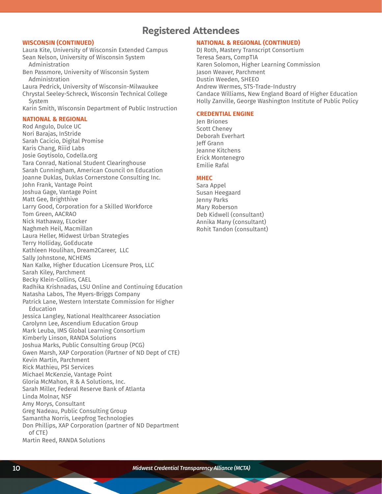### **Registered Attendees**

#### **WISCONSIN (CONTINUED)**

Laura Kite, University of Wisconsin Extended Campus Sean Nelson, University of Wisconsin System Administration

Ben Passmore, University of Wisconsin System Administration

Laura Pedrick, University of Wisconsin-Milwaukee Chrystal Seeley-Schreck, Wisconsin Technical College System

Karin Smith, Wisconsin Department of Public Instruction

#### **NATIONAL & REGIONAL**

Rod Angulo, Dulce UC Nori Barajas, InStride Sarah Cacicio, Digital Promise Karis Chang, Riiid Labs Josie Goytisolo, Codella.org Tara Conrad, National Student Clearinghouse Sarah Cunningham, American Council on Education Joanne Duklas, Duklas Cornerstone Consulting Inc. John Frank, Vantage Point Joshua Gage, Vantage Point Matt Gee, Brighthive Larry Good, Corporation for a Skilled Workforce Tom Green, AACRAO Nick Hathaway, ELocker Naghmeh Heil, Macmillan Laura Heller, Midwest Urban Strategies Terry Holliday, GoEducate Kathleen Houlihan, Dream2Career, LLC Sally Johnstone, NCHEMS Nan Kalke, Higher Education Licensure Pros, LLC Sarah Kiley, Parchment Becky Klein-Collins, CAEL Radhika Krishnadas, LSU Online and Continuing Education Natasha Labos, The Myers-Briggs Company Patrick Lane, Western Interstate Commission for Higher Education Jessica Langley, National Healthcareer Association Carolynn Lee, Ascendium Education Group Mark Leuba, IMS Global Learning Consortium Kimberly Linson, RANDA Solutions Joshua Marks, Public Consulting Group (PCG) Gwen Marsh, XAP Corporation (Partner of ND Dept of CTE) Kevin Martin, Parchment Rick Mathieu, PSI Services Michael McKenzie, Vantage Point Gloria McMahon, R & A Solutions, Inc. Sarah Miller, Federal Reserve Bank of Atlanta Linda Molnar, NSF Amy Morys, Consultant Greg Nadeau, Public Consulting Group Samantha Norris, Leepfrog Technologies Don Phillips, XAP Corporation (partner of ND Department of CTE) Martin Reed, RANDA Solutions

#### **NATIONAL & REGIONAL (CONTINUED)**

DJ Roth, Mastery Transcript Consortium Teresa Sears, CompTIA Karen Solomon, Higher Learning Commission Jason Weaver, Parchment Dustin Weeden, SHEEO Andrew Wermes, STS-Trade-Industry Candace Williams, New England Board of Higher Education Holly Zanville, George Washington Institute of Public Policy

#### **CREDENTIAL ENGINE**

Jen Briones Scott Cheney Deborah Everhart Jeff Grann Jeanne Kitchens Erick Montenegro Emilie Rafal

#### **MHEC**

Sara Appel Susan Heegaard Jenny Parks Mary Roberson Deb Kidwell (consultant) Annika Many (consultant) Rohit Tandon (consultant)